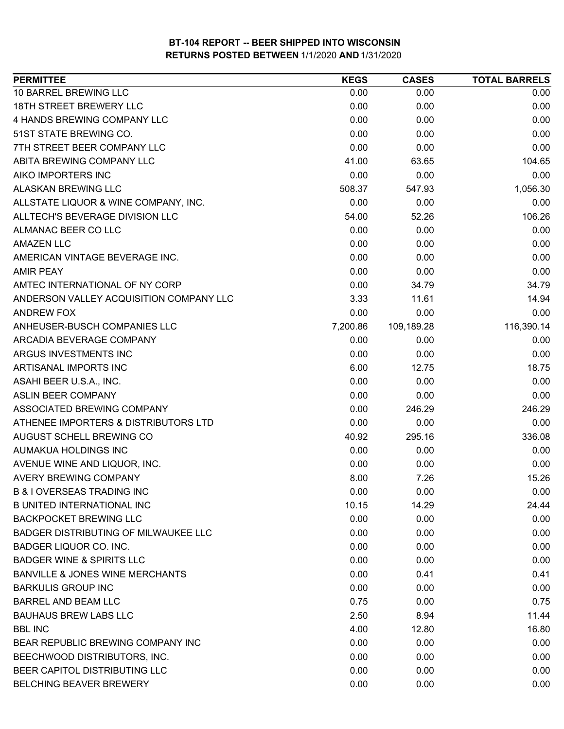| <b>PERMITTEE</b>                            | <b>KEGS</b> | <b>CASES</b> | <b>TOTAL BARRELS</b> |
|---------------------------------------------|-------------|--------------|----------------------|
| 10 BARREL BREWING LLC                       | 0.00        | 0.00         | 0.00                 |
| <b>18TH STREET BREWERY LLC</b>              | 0.00        | 0.00         | 0.00                 |
| 4 HANDS BREWING COMPANY LLC                 | 0.00        | 0.00         | 0.00                 |
| 51ST STATE BREWING CO.                      | 0.00        | 0.00         | 0.00                 |
| 7TH STREET BEER COMPANY LLC                 | 0.00        | 0.00         | 0.00                 |
| ABITA BREWING COMPANY LLC                   | 41.00       | 63.65        | 104.65               |
| AIKO IMPORTERS INC                          | 0.00        | 0.00         | 0.00                 |
| <b>ALASKAN BREWING LLC</b>                  | 508.37      | 547.93       | 1,056.30             |
| ALLSTATE LIQUOR & WINE COMPANY, INC.        | 0.00        | 0.00         | 0.00                 |
| ALLTECH'S BEVERAGE DIVISION LLC             | 54.00       | 52.26        | 106.26               |
| ALMANAC BEER CO LLC                         | 0.00        | 0.00         | 0.00                 |
| <b>AMAZEN LLC</b>                           | 0.00        | 0.00         | 0.00                 |
| AMERICAN VINTAGE BEVERAGE INC.              | 0.00        | 0.00         | 0.00                 |
| <b>AMIR PEAY</b>                            | 0.00        | 0.00         | 0.00                 |
| AMTEC INTERNATIONAL OF NY CORP              | 0.00        | 34.79        | 34.79                |
| ANDERSON VALLEY ACQUISITION COMPANY LLC     | 3.33        | 11.61        | 14.94                |
| ANDREW FOX                                  | 0.00        | 0.00         | 0.00                 |
| ANHEUSER-BUSCH COMPANIES LLC                | 7,200.86    | 109,189.28   | 116,390.14           |
| ARCADIA BEVERAGE COMPANY                    | 0.00        | 0.00         | 0.00                 |
| ARGUS INVESTMENTS INC                       | 0.00        | 0.00         | 0.00                 |
| ARTISANAL IMPORTS INC                       | 6.00        | 12.75        | 18.75                |
| ASAHI BEER U.S.A., INC.                     | 0.00        | 0.00         | 0.00                 |
| <b>ASLIN BEER COMPANY</b>                   | 0.00        | 0.00         | 0.00                 |
| ASSOCIATED BREWING COMPANY                  | 0.00        | 246.29       | 246.29               |
| ATHENEE IMPORTERS & DISTRIBUTORS LTD        | 0.00        | 0.00         | 0.00                 |
| AUGUST SCHELL BREWING CO                    | 40.92       | 295.16       | 336.08               |
| AUMAKUA HOLDINGS INC                        | 0.00        | 0.00         | 0.00                 |
| AVENUE WINE AND LIQUOR, INC.                | 0.00        | 0.00         | 0.00                 |
| <b>AVERY BREWING COMPANY</b>                | 8.00        | 7.26         | 15.26                |
| <b>B &amp; I OVERSEAS TRADING INC</b>       | 0.00        | 0.00         | 0.00                 |
| <b>B UNITED INTERNATIONAL INC</b>           | 10.15       | 14.29        | 24.44                |
| <b>BACKPOCKET BREWING LLC</b>               | 0.00        | 0.00         | 0.00                 |
| <b>BADGER DISTRIBUTING OF MILWAUKEE LLC</b> | 0.00        | 0.00         | 0.00                 |
| <b>BADGER LIQUOR CO. INC.</b>               | 0.00        | 0.00         | 0.00                 |
| <b>BADGER WINE &amp; SPIRITS LLC</b>        | 0.00        | 0.00         | 0.00                 |
| <b>BANVILLE &amp; JONES WINE MERCHANTS</b>  | 0.00        | 0.41         | 0.41                 |
| <b>BARKULIS GROUP INC</b>                   | 0.00        | 0.00         | 0.00                 |
| <b>BARREL AND BEAM LLC</b>                  | 0.75        | 0.00         | 0.75                 |
| <b>BAUHAUS BREW LABS LLC</b>                | 2.50        | 8.94         | 11.44                |
| <b>BBL INC</b>                              | 4.00        | 12.80        | 16.80                |
| BEAR REPUBLIC BREWING COMPANY INC           | 0.00        | 0.00         | 0.00                 |
| BEECHWOOD DISTRIBUTORS, INC.                | 0.00        | 0.00         | 0.00                 |
| BEER CAPITOL DISTRIBUTING LLC               | 0.00        | 0.00         | 0.00                 |
| BELCHING BEAVER BREWERY                     | 0.00        | 0.00         | 0.00                 |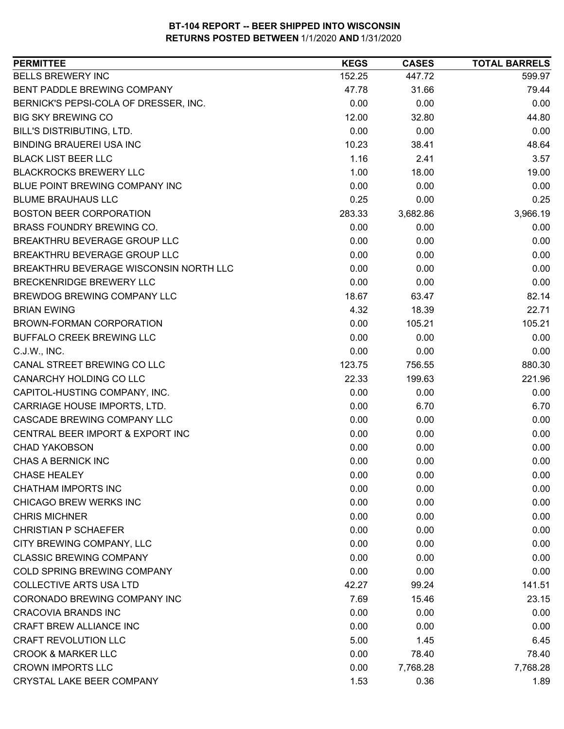| <b>PERMITTEE</b>                       | <b>KEGS</b> | <b>CASES</b> | <b>TOTAL BARRELS</b> |
|----------------------------------------|-------------|--------------|----------------------|
| <b>BELLS BREWERY INC</b>               | 152.25      | 447.72       | 599.97               |
| <b>BENT PADDLE BREWING COMPANY</b>     | 47.78       | 31.66        | 79.44                |
| BERNICK'S PEPSI-COLA OF DRESSER, INC.  | 0.00        | 0.00         | 0.00                 |
| <b>BIG SKY BREWING CO</b>              | 12.00       | 32.80        | 44.80                |
| BILL'S DISTRIBUTING, LTD.              | 0.00        | 0.00         | 0.00                 |
| <b>BINDING BRAUEREI USA INC</b>        | 10.23       | 38.41        | 48.64                |
| <b>BLACK LIST BEER LLC</b>             | 1.16        | 2.41         | 3.57                 |
| <b>BLACKROCKS BREWERY LLC</b>          | 1.00        | 18.00        | 19.00                |
| BLUE POINT BREWING COMPANY INC         | 0.00        | 0.00         | 0.00                 |
| <b>BLUME BRAUHAUS LLC</b>              | 0.25        | 0.00         | 0.25                 |
| <b>BOSTON BEER CORPORATION</b>         | 283.33      | 3,682.86     | 3,966.19             |
| <b>BRASS FOUNDRY BREWING CO.</b>       | 0.00        | 0.00         | 0.00                 |
| BREAKTHRU BEVERAGE GROUP LLC           | 0.00        | 0.00         | 0.00                 |
| BREAKTHRU BEVERAGE GROUP LLC           | 0.00        | 0.00         | 0.00                 |
| BREAKTHRU BEVERAGE WISCONSIN NORTH LLC | 0.00        | 0.00         | 0.00                 |
| BRECKENRIDGE BREWERY LLC               | 0.00        | 0.00         | 0.00                 |
| BREWDOG BREWING COMPANY LLC            | 18.67       | 63.47        | 82.14                |
| <b>BRIAN EWING</b>                     | 4.32        | 18.39        | 22.71                |
| BROWN-FORMAN CORPORATION               | 0.00        | 105.21       | 105.21               |
| <b>BUFFALO CREEK BREWING LLC</b>       | 0.00        | 0.00         | 0.00                 |
| C.J.W., INC.                           | 0.00        | 0.00         | 0.00                 |
| CANAL STREET BREWING CO LLC            | 123.75      | 756.55       | 880.30               |
| CANARCHY HOLDING CO LLC                | 22.33       | 199.63       | 221.96               |
| CAPITOL-HUSTING COMPANY, INC.          | 0.00        | 0.00         | 0.00                 |
| CARRIAGE HOUSE IMPORTS, LTD.           | 0.00        | 6.70         | 6.70                 |
| CASCADE BREWING COMPANY LLC            | 0.00        | 0.00         | 0.00                 |
| CENTRAL BEER IMPORT & EXPORT INC       | 0.00        | 0.00         | 0.00                 |
| <b>CHAD YAKOBSON</b>                   | 0.00        | 0.00         | 0.00                 |
| CHAS A BERNICK INC                     | 0.00        | 0.00         | 0.00                 |
| <b>CHASE HEALEY</b>                    | 0.00        | 0.00         | 0.00                 |
| <b>CHATHAM IMPORTS INC</b>             | 0.00        | 0.00         | 0.00                 |
| CHICAGO BREW WERKS INC                 | 0.00        | 0.00         | 0.00                 |
| <b>CHRIS MICHNER</b>                   | 0.00        | 0.00         | 0.00                 |
| <b>CHRISTIAN P SCHAEFER</b>            | 0.00        | 0.00         | 0.00                 |
| CITY BREWING COMPANY, LLC              | 0.00        | 0.00         | 0.00                 |
| <b>CLASSIC BREWING COMPANY</b>         | 0.00        | 0.00         | 0.00                 |
| COLD SPRING BREWING COMPANY            | 0.00        | 0.00         | 0.00                 |
| <b>COLLECTIVE ARTS USA LTD</b>         | 42.27       | 99.24        | 141.51               |
| CORONADO BREWING COMPANY INC           | 7.69        | 15.46        | 23.15                |
| <b>CRACOVIA BRANDS INC</b>             | 0.00        | 0.00         | 0.00                 |
| CRAFT BREW ALLIANCE INC                | 0.00        | 0.00         | 0.00                 |
| <b>CRAFT REVOLUTION LLC</b>            | 5.00        | 1.45         | 6.45                 |
| <b>CROOK &amp; MARKER LLC</b>          | 0.00        | 78.40        | 78.40                |
| <b>CROWN IMPORTS LLC</b>               | 0.00        | 7,768.28     | 7,768.28             |
| CRYSTAL LAKE BEER COMPANY              | 1.53        | 0.36         | 1.89                 |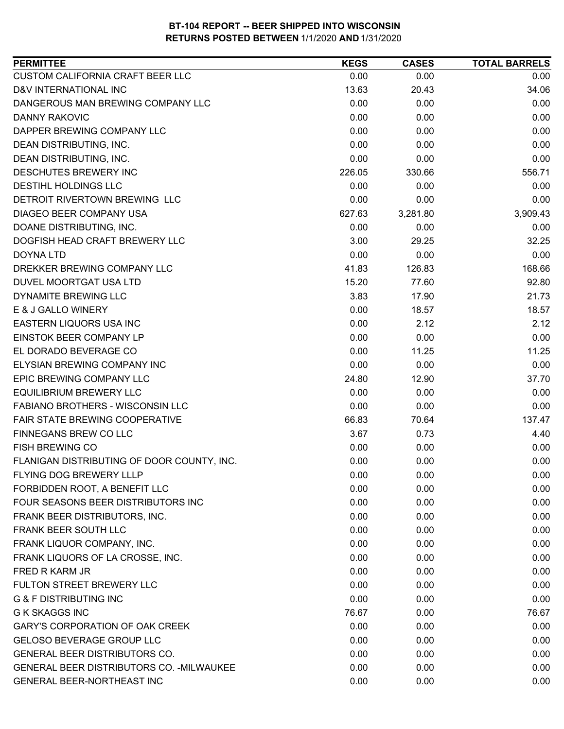| <b>PERMITTEE</b>                           | <b>KEGS</b> | <b>CASES</b> | <b>TOTAL BARRELS</b> |
|--------------------------------------------|-------------|--------------|----------------------|
| <b>CUSTOM CALIFORNIA CRAFT BEER LLC</b>    | 0.00        | 0.00         | 0.00                 |
| <b>D&amp;V INTERNATIONAL INC</b>           | 13.63       | 20.43        | 34.06                |
| DANGEROUS MAN BREWING COMPANY LLC          | 0.00        | 0.00         | 0.00                 |
| DANNY RAKOVIC                              | 0.00        | 0.00         | 0.00                 |
| DAPPER BREWING COMPANY LLC                 | 0.00        | 0.00         | 0.00                 |
| DEAN DISTRIBUTING, INC.                    | 0.00        | 0.00         | 0.00                 |
| DEAN DISTRIBUTING, INC.                    | 0.00        | 0.00         | 0.00                 |
| DESCHUTES BREWERY INC                      | 226.05      | 330.66       | 556.71               |
| <b>DESTIHL HOLDINGS LLC</b>                | 0.00        | 0.00         | 0.00                 |
| DETROIT RIVERTOWN BREWING LLC              | 0.00        | 0.00         | 0.00                 |
| DIAGEO BEER COMPANY USA                    | 627.63      | 3,281.80     | 3,909.43             |
| DOANE DISTRIBUTING, INC.                   | 0.00        | 0.00         | 0.00                 |
| DOGFISH HEAD CRAFT BREWERY LLC             | 3.00        | 29.25        | 32.25                |
| DOYNA LTD                                  | 0.00        | 0.00         | 0.00                 |
| DREKKER BREWING COMPANY LLC                | 41.83       | 126.83       | 168.66               |
| DUVEL MOORTGAT USA LTD                     | 15.20       | 77.60        | 92.80                |
| DYNAMITE BREWING LLC                       | 3.83        | 17.90        | 21.73                |
| E & J GALLO WINERY                         | 0.00        | 18.57        | 18.57                |
| EASTERN LIQUORS USA INC                    | 0.00        | 2.12         | 2.12                 |
| EINSTOK BEER COMPANY LP                    | 0.00        | 0.00         | 0.00                 |
| EL DORADO BEVERAGE CO                      | 0.00        | 11.25        | 11.25                |
| ELYSIAN BREWING COMPANY INC                | 0.00        | 0.00         | 0.00                 |
| EPIC BREWING COMPANY LLC                   | 24.80       | 12.90        | 37.70                |
| <b>EQUILIBRIUM BREWERY LLC</b>             | 0.00        | 0.00         | 0.00                 |
| FABIANO BROTHERS - WISCONSIN LLC           | 0.00        | 0.00         | 0.00                 |
| FAIR STATE BREWING COOPERATIVE             | 66.83       | 70.64        | 137.47               |
| FINNEGANS BREW CO LLC                      | 3.67        | 0.73         | 4.40                 |
| <b>FISH BREWING CO</b>                     | 0.00        | 0.00         | 0.00                 |
| FLANIGAN DISTRIBUTING OF DOOR COUNTY, INC. | 0.00        | 0.00         | 0.00                 |
| FLYING DOG BREWERY LLLP                    | 0.00        | 0.00         | 0.00                 |
| FORBIDDEN ROOT, A BENEFIT LLC              | 0.00        | 0.00         | 0.00                 |
| FOUR SEASONS BEER DISTRIBUTORS INC         | 0.00        | 0.00         | 0.00                 |
| FRANK BEER DISTRIBUTORS, INC.              | 0.00        | 0.00         | 0.00                 |
| FRANK BEER SOUTH LLC                       | 0.00        | 0.00         | 0.00                 |
| FRANK LIQUOR COMPANY, INC.                 | 0.00        | 0.00         | 0.00                 |
| FRANK LIQUORS OF LA CROSSE, INC.           | 0.00        | 0.00         | 0.00                 |
| FRED R KARM JR                             | 0.00        | 0.00         | 0.00                 |
| FULTON STREET BREWERY LLC                  | 0.00        | 0.00         | 0.00                 |
| <b>G &amp; F DISTRIBUTING INC</b>          | 0.00        | 0.00         | 0.00                 |
| <b>G K SKAGGS INC</b>                      | 76.67       | 0.00         | 76.67                |
| <b>GARY'S CORPORATION OF OAK CREEK</b>     | 0.00        | 0.00         | 0.00                 |
| <b>GELOSO BEVERAGE GROUP LLC</b>           | 0.00        | 0.00         | 0.00                 |
| <b>GENERAL BEER DISTRIBUTORS CO.</b>       | 0.00        | 0.00         | 0.00                 |
| GENERAL BEER DISTRIBUTORS CO. - MILWAUKEE  | 0.00        | 0.00         | 0.00                 |
| GENERAL BEER-NORTHEAST INC                 | 0.00        | 0.00         | 0.00                 |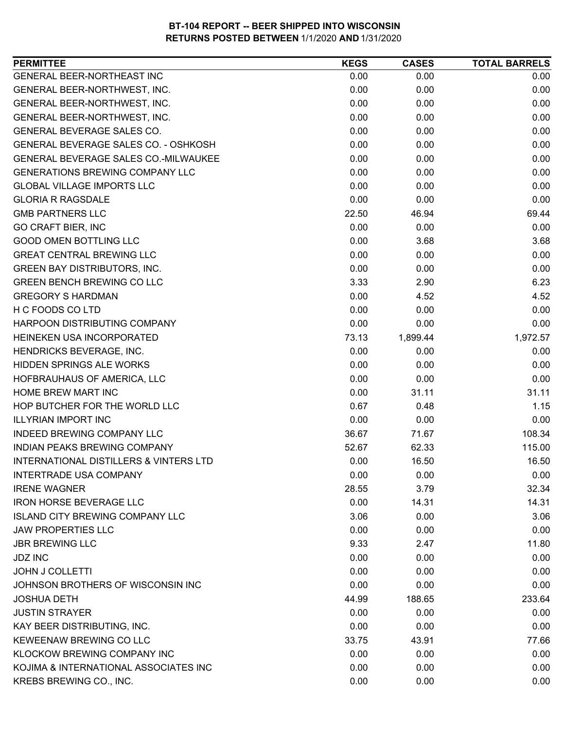| <b>PERMITTEE</b>                                  | <b>KEGS</b> | <b>CASES</b> | <b>TOTAL BARRELS</b> |
|---------------------------------------------------|-------------|--------------|----------------------|
| GENERAL BEER-NORTHEAST INC                        | 0.00        | 0.00         | 0.00                 |
| GENERAL BEER-NORTHWEST, INC.                      | 0.00        | 0.00         | 0.00                 |
| GENERAL BEER-NORTHWEST, INC.                      | 0.00        | 0.00         | 0.00                 |
| GENERAL BEER-NORTHWEST, INC.                      | 0.00        | 0.00         | 0.00                 |
| GENERAL BEVERAGE SALES CO.                        | 0.00        | 0.00         | 0.00                 |
| GENERAL BEVERAGE SALES CO. - OSHKOSH              | 0.00        | 0.00         | 0.00                 |
| GENERAL BEVERAGE SALES CO.-MILWAUKEE              | 0.00        | 0.00         | 0.00                 |
| <b>GENERATIONS BREWING COMPANY LLC</b>            | 0.00        | 0.00         | 0.00                 |
| <b>GLOBAL VILLAGE IMPORTS LLC</b>                 | 0.00        | 0.00         | 0.00                 |
| <b>GLORIA R RAGSDALE</b>                          | 0.00        | 0.00         | 0.00                 |
| <b>GMB PARTNERS LLC</b>                           | 22.50       | 46.94        | 69.44                |
| <b>GO CRAFT BIER, INC</b>                         | 0.00        | 0.00         | 0.00                 |
| <b>GOOD OMEN BOTTLING LLC</b>                     | 0.00        | 3.68         | 3.68                 |
| <b>GREAT CENTRAL BREWING LLC</b>                  | 0.00        | 0.00         | 0.00                 |
| <b>GREEN BAY DISTRIBUTORS, INC.</b>               | 0.00        | 0.00         | 0.00                 |
| <b>GREEN BENCH BREWING CO LLC</b>                 | 3.33        | 2.90         | 6.23                 |
| <b>GREGORY S HARDMAN</b>                          | 0.00        | 4.52         | 4.52                 |
| H C FOODS CO LTD                                  | 0.00        | 0.00         | 0.00                 |
| HARPOON DISTRIBUTING COMPANY                      | 0.00        | 0.00         | 0.00                 |
| HEINEKEN USA INCORPORATED                         | 73.13       | 1,899.44     | 1,972.57             |
| HENDRICKS BEVERAGE, INC.                          | 0.00        | 0.00         | 0.00                 |
| HIDDEN SPRINGS ALE WORKS                          | 0.00        | 0.00         | 0.00                 |
| HOFBRAUHAUS OF AMERICA, LLC                       | 0.00        | 0.00         | 0.00                 |
| HOME BREW MART INC                                | 0.00        | 31.11        | 31.11                |
| HOP BUTCHER FOR THE WORLD LLC                     | 0.67        | 0.48         | 1.15                 |
| <b>ILLYRIAN IMPORT INC</b>                        | 0.00        | 0.00         | 0.00                 |
| INDEED BREWING COMPANY LLC                        | 36.67       | 71.67        | 108.34               |
| INDIAN PEAKS BREWING COMPANY                      | 52.67       | 62.33        | 115.00               |
| <b>INTERNATIONAL DISTILLERS &amp; VINTERS LTD</b> | 0.00        | 16.50        | 16.50                |
| <b>INTERTRADE USA COMPANY</b>                     | 0.00        | 0.00         | 0.00                 |
| <b>IRENE WAGNER</b>                               | 28.55       | 3.79         | 32.34                |
| <b>IRON HORSE BEVERAGE LLC</b>                    | 0.00        | 14.31        | 14.31                |
| <b>ISLAND CITY BREWING COMPANY LLC</b>            | 3.06        | 0.00         | 3.06                 |
| <b>JAW PROPERTIES LLC</b>                         | 0.00        | 0.00         | 0.00                 |
| <b>JBR BREWING LLC</b>                            | 9.33        | 2.47         | 11.80                |
| <b>JDZ INC</b>                                    | 0.00        | 0.00         | 0.00                 |
| <b>JOHN J COLLETTI</b>                            | 0.00        | 0.00         | 0.00                 |
| JOHNSON BROTHERS OF WISCONSIN INC                 | 0.00        | 0.00         | 0.00                 |
| <b>JOSHUA DETH</b>                                | 44.99       | 188.65       | 233.64               |
| <b>JUSTIN STRAYER</b>                             | 0.00        | 0.00         | 0.00                 |
| KAY BEER DISTRIBUTING, INC.                       | 0.00        | 0.00         | 0.00                 |
| KEWEENAW BREWING CO LLC                           | 33.75       | 43.91        | 77.66                |
| KLOCKOW BREWING COMPANY INC                       | 0.00        | 0.00         | 0.00                 |
| KOJIMA & INTERNATIONAL ASSOCIATES INC             | 0.00        | 0.00         | 0.00                 |
| KREBS BREWING CO., INC.                           | 0.00        | 0.00         | 0.00                 |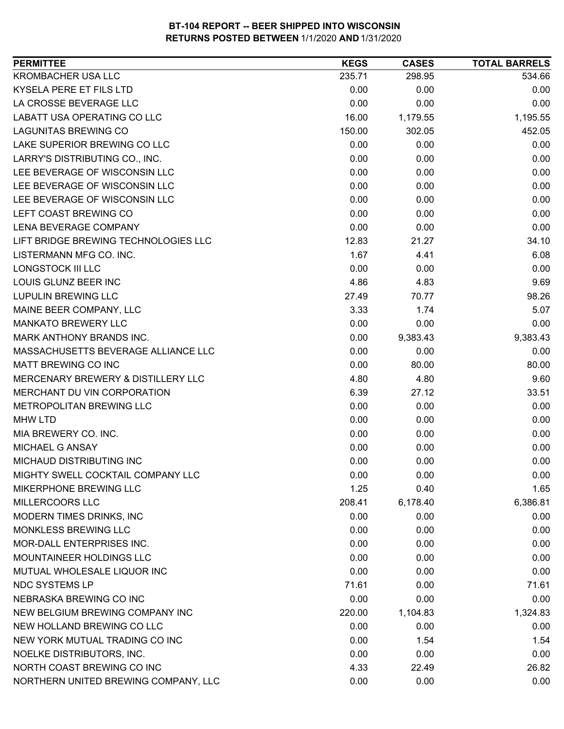| KROMBACHER USA LLC<br>534.66<br>235.71<br>298.95<br>KYSELA PERE ET FILS LTD<br>0.00<br>0.00<br>0.00<br>LA CROSSE BEVERAGE LLC<br>0.00<br>0.00<br>0.00<br>16.00<br>1,195.55<br>1,179.55<br>150.00<br>302.05<br>452.05<br>0.00<br>0.00<br>0.00<br>0.00<br>0.00<br>0.00<br>0.00<br>0.00<br>0.00<br>0.00<br>0.00<br>0.00<br>0.00<br>0.00<br>0.00<br>0.00<br>0.00<br>0.00<br>0.00<br>0.00<br>0.00<br>12.83<br>34.10<br>21.27<br>1.67<br>6.08<br>4.41<br>0.00<br>0.00<br>0.00<br>4.86<br>9.69<br>4.83<br>27.49<br>98.26<br>70.77<br>3.33<br>5.07<br>1.74<br>0.00<br>0.00<br>0.00<br>0.00<br>9,383.43<br>9,383.43<br>0.00<br>0.00<br>0.00<br>0.00<br>80.00<br>4.80<br>9.60<br>4.80<br>6.39<br>33.51<br>27.12<br>0.00<br>0.00<br>0.00<br>0.00<br>0.00<br>0.00<br>0.00<br>0.00<br>0.00<br>0.00<br>0.00<br>0.00<br>0.00<br>0.00<br>0.00<br>MIGHTY SWELL COCKTAIL COMPANY LLC<br>0.00<br>0.00<br>0.00<br>1.25<br>0.40<br>1.65<br>208.41<br>6,178.40<br>6,386.81<br>0.00<br>0.00<br>0.00<br>0.00<br>0.00<br>0.00<br>0.00<br>0.00<br>0.00<br>0.00<br>0.00<br>0.00<br>0.00<br>0.00<br>0.00<br>71.61<br>0.00<br>71.61<br>0.00<br>0.00<br>0.00<br>220.00<br>1,104.83<br>1,324.83<br>0.00<br>0.00<br>0.00<br>0.00<br>1.54<br>1.54<br>NOELKE DISTRIBUTORS, INC.<br>0.00<br>0.00<br>0.00<br>NORTH COAST BREWING CO INC<br>4.33<br>26.82<br>22.49 | <b>PERMITTEE</b>                     | <b>KEGS</b> | <b>CASES</b> | <b>TOTAL BARRELS</b> |
|-------------------------------------------------------------------------------------------------------------------------------------------------------------------------------------------------------------------------------------------------------------------------------------------------------------------------------------------------------------------------------------------------------------------------------------------------------------------------------------------------------------------------------------------------------------------------------------------------------------------------------------------------------------------------------------------------------------------------------------------------------------------------------------------------------------------------------------------------------------------------------------------------------------------------------------------------------------------------------------------------------------------------------------------------------------------------------------------------------------------------------------------------------------------------------------------------------------------------------------------------------------------------------------------------------------------------------|--------------------------------------|-------------|--------------|----------------------|
|                                                                                                                                                                                                                                                                                                                                                                                                                                                                                                                                                                                                                                                                                                                                                                                                                                                                                                                                                                                                                                                                                                                                                                                                                                                                                                                               |                                      |             |              |                      |
| 80.00                                                                                                                                                                                                                                                                                                                                                                                                                                                                                                                                                                                                                                                                                                                                                                                                                                                                                                                                                                                                                                                                                                                                                                                                                                                                                                                         |                                      |             |              |                      |
|                                                                                                                                                                                                                                                                                                                                                                                                                                                                                                                                                                                                                                                                                                                                                                                                                                                                                                                                                                                                                                                                                                                                                                                                                                                                                                                               |                                      |             |              |                      |
|                                                                                                                                                                                                                                                                                                                                                                                                                                                                                                                                                                                                                                                                                                                                                                                                                                                                                                                                                                                                                                                                                                                                                                                                                                                                                                                               | <b>LABATT USA OPERATING CO LLC</b>   |             |              |                      |
|                                                                                                                                                                                                                                                                                                                                                                                                                                                                                                                                                                                                                                                                                                                                                                                                                                                                                                                                                                                                                                                                                                                                                                                                                                                                                                                               | <b>LAGUNITAS BREWING CO</b>          |             |              |                      |
|                                                                                                                                                                                                                                                                                                                                                                                                                                                                                                                                                                                                                                                                                                                                                                                                                                                                                                                                                                                                                                                                                                                                                                                                                                                                                                                               | LAKE SUPERIOR BREWING CO LLC         |             |              |                      |
|                                                                                                                                                                                                                                                                                                                                                                                                                                                                                                                                                                                                                                                                                                                                                                                                                                                                                                                                                                                                                                                                                                                                                                                                                                                                                                                               | LARRY'S DISTRIBUTING CO., INC.       |             |              |                      |
|                                                                                                                                                                                                                                                                                                                                                                                                                                                                                                                                                                                                                                                                                                                                                                                                                                                                                                                                                                                                                                                                                                                                                                                                                                                                                                                               | LEE BEVERAGE OF WISCONSIN LLC        |             |              |                      |
|                                                                                                                                                                                                                                                                                                                                                                                                                                                                                                                                                                                                                                                                                                                                                                                                                                                                                                                                                                                                                                                                                                                                                                                                                                                                                                                               | LEE BEVERAGE OF WISCONSIN LLC        |             |              |                      |
|                                                                                                                                                                                                                                                                                                                                                                                                                                                                                                                                                                                                                                                                                                                                                                                                                                                                                                                                                                                                                                                                                                                                                                                                                                                                                                                               | LEE BEVERAGE OF WISCONSIN LLC        |             |              |                      |
|                                                                                                                                                                                                                                                                                                                                                                                                                                                                                                                                                                                                                                                                                                                                                                                                                                                                                                                                                                                                                                                                                                                                                                                                                                                                                                                               | LEFT COAST BREWING CO                |             |              |                      |
|                                                                                                                                                                                                                                                                                                                                                                                                                                                                                                                                                                                                                                                                                                                                                                                                                                                                                                                                                                                                                                                                                                                                                                                                                                                                                                                               | LENA BEVERAGE COMPANY                |             |              |                      |
|                                                                                                                                                                                                                                                                                                                                                                                                                                                                                                                                                                                                                                                                                                                                                                                                                                                                                                                                                                                                                                                                                                                                                                                                                                                                                                                               | LIFT BRIDGE BREWING TECHNOLOGIES LLC |             |              |                      |
|                                                                                                                                                                                                                                                                                                                                                                                                                                                                                                                                                                                                                                                                                                                                                                                                                                                                                                                                                                                                                                                                                                                                                                                                                                                                                                                               | LISTERMANN MFG CO. INC.              |             |              |                      |
|                                                                                                                                                                                                                                                                                                                                                                                                                                                                                                                                                                                                                                                                                                                                                                                                                                                                                                                                                                                                                                                                                                                                                                                                                                                                                                                               | <b>LONGSTOCK III LLC</b>             |             |              |                      |
|                                                                                                                                                                                                                                                                                                                                                                                                                                                                                                                                                                                                                                                                                                                                                                                                                                                                                                                                                                                                                                                                                                                                                                                                                                                                                                                               | LOUIS GLUNZ BEER INC                 |             |              |                      |
|                                                                                                                                                                                                                                                                                                                                                                                                                                                                                                                                                                                                                                                                                                                                                                                                                                                                                                                                                                                                                                                                                                                                                                                                                                                                                                                               | <b>LUPULIN BREWING LLC</b>           |             |              |                      |
|                                                                                                                                                                                                                                                                                                                                                                                                                                                                                                                                                                                                                                                                                                                                                                                                                                                                                                                                                                                                                                                                                                                                                                                                                                                                                                                               | MAINE BEER COMPANY, LLC              |             |              |                      |
|                                                                                                                                                                                                                                                                                                                                                                                                                                                                                                                                                                                                                                                                                                                                                                                                                                                                                                                                                                                                                                                                                                                                                                                                                                                                                                                               | <b>MANKATO BREWERY LLC</b>           |             |              |                      |
|                                                                                                                                                                                                                                                                                                                                                                                                                                                                                                                                                                                                                                                                                                                                                                                                                                                                                                                                                                                                                                                                                                                                                                                                                                                                                                                               | <b>MARK ANTHONY BRANDS INC.</b>      |             |              |                      |
|                                                                                                                                                                                                                                                                                                                                                                                                                                                                                                                                                                                                                                                                                                                                                                                                                                                                                                                                                                                                                                                                                                                                                                                                                                                                                                                               | MASSACHUSETTS BEVERAGE ALLIANCE LLC  |             |              |                      |
|                                                                                                                                                                                                                                                                                                                                                                                                                                                                                                                                                                                                                                                                                                                                                                                                                                                                                                                                                                                                                                                                                                                                                                                                                                                                                                                               | <b>MATT BREWING CO INC</b>           |             |              |                      |
|                                                                                                                                                                                                                                                                                                                                                                                                                                                                                                                                                                                                                                                                                                                                                                                                                                                                                                                                                                                                                                                                                                                                                                                                                                                                                                                               | MERCENARY BREWERY & DISTILLERY LLC   |             |              |                      |
|                                                                                                                                                                                                                                                                                                                                                                                                                                                                                                                                                                                                                                                                                                                                                                                                                                                                                                                                                                                                                                                                                                                                                                                                                                                                                                                               | MERCHANT DU VIN CORPORATION          |             |              |                      |
|                                                                                                                                                                                                                                                                                                                                                                                                                                                                                                                                                                                                                                                                                                                                                                                                                                                                                                                                                                                                                                                                                                                                                                                                                                                                                                                               | METROPOLITAN BREWING LLC             |             |              |                      |
|                                                                                                                                                                                                                                                                                                                                                                                                                                                                                                                                                                                                                                                                                                                                                                                                                                                                                                                                                                                                                                                                                                                                                                                                                                                                                                                               | <b>MHW LTD</b>                       |             |              |                      |
|                                                                                                                                                                                                                                                                                                                                                                                                                                                                                                                                                                                                                                                                                                                                                                                                                                                                                                                                                                                                                                                                                                                                                                                                                                                                                                                               | MIA BREWERY CO. INC.                 |             |              |                      |
|                                                                                                                                                                                                                                                                                                                                                                                                                                                                                                                                                                                                                                                                                                                                                                                                                                                                                                                                                                                                                                                                                                                                                                                                                                                                                                                               | <b>MICHAEL G ANSAY</b>               |             |              |                      |
|                                                                                                                                                                                                                                                                                                                                                                                                                                                                                                                                                                                                                                                                                                                                                                                                                                                                                                                                                                                                                                                                                                                                                                                                                                                                                                                               | MICHAUD DISTRIBUTING INC             |             |              |                      |
|                                                                                                                                                                                                                                                                                                                                                                                                                                                                                                                                                                                                                                                                                                                                                                                                                                                                                                                                                                                                                                                                                                                                                                                                                                                                                                                               |                                      |             |              |                      |
|                                                                                                                                                                                                                                                                                                                                                                                                                                                                                                                                                                                                                                                                                                                                                                                                                                                                                                                                                                                                                                                                                                                                                                                                                                                                                                                               | MIKERPHONE BREWING LLC               |             |              |                      |
|                                                                                                                                                                                                                                                                                                                                                                                                                                                                                                                                                                                                                                                                                                                                                                                                                                                                                                                                                                                                                                                                                                                                                                                                                                                                                                                               | <b>MILLERCOORS LLC</b>               |             |              |                      |
|                                                                                                                                                                                                                                                                                                                                                                                                                                                                                                                                                                                                                                                                                                                                                                                                                                                                                                                                                                                                                                                                                                                                                                                                                                                                                                                               | MODERN TIMES DRINKS, INC             |             |              |                      |
|                                                                                                                                                                                                                                                                                                                                                                                                                                                                                                                                                                                                                                                                                                                                                                                                                                                                                                                                                                                                                                                                                                                                                                                                                                                                                                                               | MONKLESS BREWING LLC                 |             |              |                      |
|                                                                                                                                                                                                                                                                                                                                                                                                                                                                                                                                                                                                                                                                                                                                                                                                                                                                                                                                                                                                                                                                                                                                                                                                                                                                                                                               | MOR-DALL ENTERPRISES INC.            |             |              |                      |
|                                                                                                                                                                                                                                                                                                                                                                                                                                                                                                                                                                                                                                                                                                                                                                                                                                                                                                                                                                                                                                                                                                                                                                                                                                                                                                                               | MOUNTAINEER HOLDINGS LLC             |             |              |                      |
|                                                                                                                                                                                                                                                                                                                                                                                                                                                                                                                                                                                                                                                                                                                                                                                                                                                                                                                                                                                                                                                                                                                                                                                                                                                                                                                               | MUTUAL WHOLESALE LIQUOR INC          |             |              |                      |
|                                                                                                                                                                                                                                                                                                                                                                                                                                                                                                                                                                                                                                                                                                                                                                                                                                                                                                                                                                                                                                                                                                                                                                                                                                                                                                                               | <b>NDC SYSTEMS LP</b>                |             |              |                      |
|                                                                                                                                                                                                                                                                                                                                                                                                                                                                                                                                                                                                                                                                                                                                                                                                                                                                                                                                                                                                                                                                                                                                                                                                                                                                                                                               | NEBRASKA BREWING CO INC              |             |              |                      |
|                                                                                                                                                                                                                                                                                                                                                                                                                                                                                                                                                                                                                                                                                                                                                                                                                                                                                                                                                                                                                                                                                                                                                                                                                                                                                                                               | NEW BELGIUM BREWING COMPANY INC      |             |              |                      |
|                                                                                                                                                                                                                                                                                                                                                                                                                                                                                                                                                                                                                                                                                                                                                                                                                                                                                                                                                                                                                                                                                                                                                                                                                                                                                                                               | NEW HOLLAND BREWING CO LLC           |             |              |                      |
|                                                                                                                                                                                                                                                                                                                                                                                                                                                                                                                                                                                                                                                                                                                                                                                                                                                                                                                                                                                                                                                                                                                                                                                                                                                                                                                               | NEW YORK MUTUAL TRADING CO INC       |             |              |                      |
|                                                                                                                                                                                                                                                                                                                                                                                                                                                                                                                                                                                                                                                                                                                                                                                                                                                                                                                                                                                                                                                                                                                                                                                                                                                                                                                               |                                      |             |              |                      |
|                                                                                                                                                                                                                                                                                                                                                                                                                                                                                                                                                                                                                                                                                                                                                                                                                                                                                                                                                                                                                                                                                                                                                                                                                                                                                                                               |                                      |             |              |                      |
|                                                                                                                                                                                                                                                                                                                                                                                                                                                                                                                                                                                                                                                                                                                                                                                                                                                                                                                                                                                                                                                                                                                                                                                                                                                                                                                               | NORTHERN UNITED BREWING COMPANY, LLC | 0.00        | 0.00         | 0.00                 |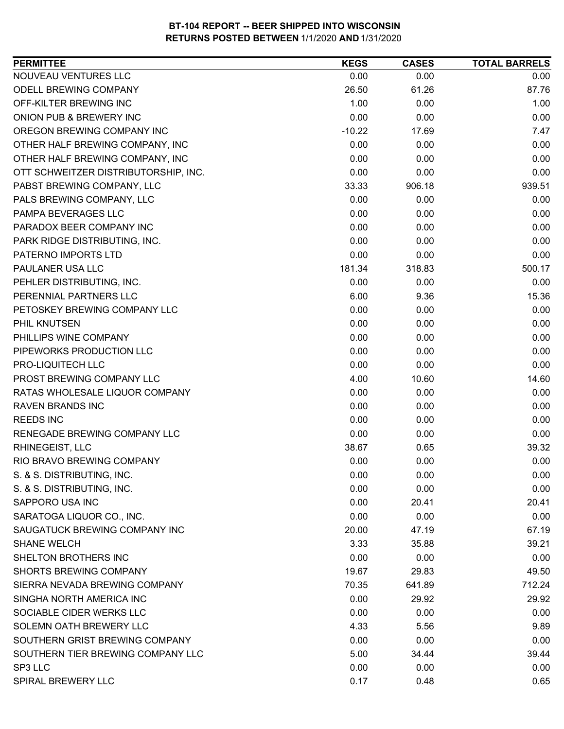| <b>PERMITTEE</b>                     | <b>KEGS</b> | <b>CASES</b> | <b>TOTAL BARRELS</b> |
|--------------------------------------|-------------|--------------|----------------------|
| NOUVEAU VENTURES LLC                 | 0.00        | 0.00         | 0.00                 |
| <b>ODELL BREWING COMPANY</b>         | 26.50       | 61.26        | 87.76                |
| OFF-KILTER BREWING INC               | 1.00        | 0.00         | 1.00                 |
| ONION PUB & BREWERY INC              | 0.00        | 0.00         | 0.00                 |
| OREGON BREWING COMPANY INC           | $-10.22$    | 17.69        | 7.47                 |
| OTHER HALF BREWING COMPANY, INC      | 0.00        | 0.00         | 0.00                 |
| OTHER HALF BREWING COMPANY, INC      | 0.00        | 0.00         | 0.00                 |
| OTT SCHWEITZER DISTRIBUTORSHIP, INC. | 0.00        | 0.00         | 0.00                 |
| PABST BREWING COMPANY, LLC           | 33.33       | 906.18       | 939.51               |
| PALS BREWING COMPANY, LLC            | 0.00        | 0.00         | 0.00                 |
| PAMPA BEVERAGES LLC                  | 0.00        | 0.00         | 0.00                 |
| PARADOX BEER COMPANY INC             | 0.00        | 0.00         | 0.00                 |
| PARK RIDGE DISTRIBUTING, INC.        | 0.00        | 0.00         | 0.00                 |
| PATERNO IMPORTS LTD                  | 0.00        | 0.00         | 0.00                 |
| PAULANER USA LLC                     | 181.34      | 318.83       | 500.17               |
| PEHLER DISTRIBUTING, INC.            | 0.00        | 0.00         | 0.00                 |
| PERENNIAL PARTNERS LLC               | 6.00        | 9.36         | 15.36                |
| PETOSKEY BREWING COMPANY LLC         | 0.00        | 0.00         | 0.00                 |
| PHIL KNUTSEN                         | 0.00        | 0.00         | 0.00                 |
| PHILLIPS WINE COMPANY                | 0.00        | 0.00         | 0.00                 |
| PIPEWORKS PRODUCTION LLC             | 0.00        | 0.00         | 0.00                 |
| PRO-LIQUITECH LLC                    | 0.00        | 0.00         | 0.00                 |
| PROST BREWING COMPANY LLC            | 4.00        | 10.60        | 14.60                |
| RATAS WHOLESALE LIQUOR COMPANY       | 0.00        | 0.00         | 0.00                 |
| <b>RAVEN BRANDS INC</b>              | 0.00        | 0.00         | 0.00                 |
| <b>REEDS INC</b>                     | 0.00        | 0.00         | 0.00                 |
| RENEGADE BREWING COMPANY LLC         | 0.00        | 0.00         | 0.00                 |
| RHINEGEIST, LLC                      | 38.67       | 0.65         | 39.32                |
| RIO BRAVO BREWING COMPANY            | 0.00        | 0.00         | 0.00                 |
| S. & S. DISTRIBUTING, INC.           | 0.00        | 0.00         | 0.00                 |
| S. & S. DISTRIBUTING, INC.           | 0.00        | 0.00         | 0.00                 |
| SAPPORO USA INC                      | 0.00        | 20.41        | 20.41                |
| SARATOGA LIQUOR CO., INC.            | 0.00        | 0.00         | 0.00                 |
| SAUGATUCK BREWING COMPANY INC        | 20.00       | 47.19        | 67.19                |
| <b>SHANE WELCH</b>                   | 3.33        | 35.88        | 39.21                |
| <b>SHELTON BROTHERS INC</b>          | 0.00        | 0.00         | 0.00                 |
| <b>SHORTS BREWING COMPANY</b>        | 19.67       | 29.83        | 49.50                |
| SIERRA NEVADA BREWING COMPANY        | 70.35       | 641.89       | 712.24               |
| SINGHA NORTH AMERICA INC             | 0.00        | 29.92        | 29.92                |
| SOCIABLE CIDER WERKS LLC             | 0.00        | 0.00         | 0.00                 |
| SOLEMN OATH BREWERY LLC              | 4.33        | 5.56         | 9.89                 |
| SOUTHERN GRIST BREWING COMPANY       | 0.00        | 0.00         | 0.00                 |
| SOUTHERN TIER BREWING COMPANY LLC    | 5.00        | 34.44        | 39.44                |
| SP3 LLC                              | 0.00        | 0.00         | 0.00                 |
| SPIRAL BREWERY LLC                   | 0.17        | 0.48         | 0.65                 |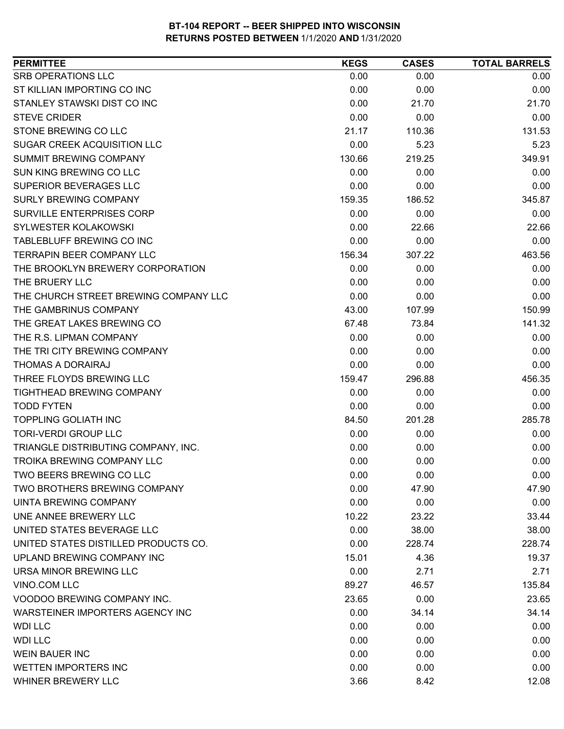| <b>SRB OPERATIONS LLC</b><br>0.00<br>0.00<br>0.00<br>0.00<br>0.00<br>0.00<br>STANLEY STAWSKI DIST CO INC<br>0.00<br>21.70<br>21.70<br><b>STEVE CRIDER</b><br>0.00<br>0.00<br>0.00<br>STONE BREWING CO LLC<br>21.17<br>110.36<br>131.53<br><b>SUGAR CREEK ACQUISITION LLC</b><br>0.00<br>5.23<br>5.23<br><b>SUMMIT BREWING COMPANY</b><br>130.66<br>349.91<br>219.25<br>SUN KING BREWING CO LLC<br>0.00<br>0.00<br>0.00<br>0.00<br>0.00<br>0.00<br><b>SURLY BREWING COMPANY</b><br>345.87<br>159.35<br>186.52<br>SURVILLE ENTERPRISES CORP<br>0.00<br>0.00<br>0.00<br>0.00<br>22.66<br><b>SYLWESTER KOLAKOWSKI</b><br>22.66<br>0.00<br>TABLEBLUFF BREWING CO INC<br>0.00<br>0.00<br><b>TERRAPIN BEER COMPANY LLC</b><br>156.34<br>463.56<br>307.22<br>THE BROOKLYN BREWERY CORPORATION<br>0.00<br>0.00<br>0.00<br>THE BRUERY LLC<br>0.00<br>0.00<br>0.00<br>THE CHURCH STREET BREWING COMPANY LLC<br>0.00<br>0.00<br>0.00<br>THE GAMBRINUS COMPANY<br>43.00<br>107.99<br>150.99<br>THE GREAT LAKES BREWING CO<br>141.32<br>67.48<br>73.84<br>THE R.S. LIPMAN COMPANY<br>0.00<br>0.00<br>0.00<br>THE TRI CITY BREWING COMPANY<br>0.00<br>0.00<br>0.00<br>THOMAS A DORAIRAJ<br>0.00<br>0.00<br>0.00<br>THREE FLOYDS BREWING LLC<br>296.88<br>456.35<br>159.47<br>TIGHTHEAD BREWING COMPANY<br>0.00<br>0.00<br>0.00<br>0.00<br>0.00<br><b>TODD FYTEN</b><br>0.00<br><b>TOPPLING GOLIATH INC</b><br>285.78<br>84.50<br>201.28<br><b>TORI-VERDI GROUP LLC</b><br>0.00<br>0.00<br>0.00<br>TRIANGLE DISTRIBUTING COMPANY, INC.<br>0.00<br>0.00<br>0.00<br><b>TROIKA BREWING COMPANY LLC</b><br>0.00<br>0.00<br>0.00<br>TWO BEERS BREWING CO LLC<br>0.00<br>0.00<br>0.00<br>TWO BROTHERS BREWING COMPANY<br>0.00<br>47.90<br>47.90<br>0.00<br>0.00<br>0.00<br>10.22<br>23.22<br>33.44<br>0.00<br>38.00<br>38.00<br>0.00<br>228.74<br>228.74<br>15.01<br>19.37<br>4.36<br>0.00<br>2.71<br>2.71<br>89.27<br>46.57<br>135.84<br>23.65<br>0.00<br>23.65 | <b>PERMITTEE</b>                     | <b>KEGS</b> | <b>CASES</b> | <b>TOTAL BARRELS</b> |
|--------------------------------------------------------------------------------------------------------------------------------------------------------------------------------------------------------------------------------------------------------------------------------------------------------------------------------------------------------------------------------------------------------------------------------------------------------------------------------------------------------------------------------------------------------------------------------------------------------------------------------------------------------------------------------------------------------------------------------------------------------------------------------------------------------------------------------------------------------------------------------------------------------------------------------------------------------------------------------------------------------------------------------------------------------------------------------------------------------------------------------------------------------------------------------------------------------------------------------------------------------------------------------------------------------------------------------------------------------------------------------------------------------------------------------------------------------------------------------------------------------------------------------------------------------------------------------------------------------------------------------------------------------------------------------------------------------------------------------------------------------------------------------------------------------------------------------------------------------------------------------------------------------------------------------------------|--------------------------------------|-------------|--------------|----------------------|
|                                                                                                                                                                                                                                                                                                                                                                                                                                                                                                                                                                                                                                                                                                                                                                                                                                                                                                                                                                                                                                                                                                                                                                                                                                                                                                                                                                                                                                                                                                                                                                                                                                                                                                                                                                                                                                                                                                                                            |                                      |             |              |                      |
|                                                                                                                                                                                                                                                                                                                                                                                                                                                                                                                                                                                                                                                                                                                                                                                                                                                                                                                                                                                                                                                                                                                                                                                                                                                                                                                                                                                                                                                                                                                                                                                                                                                                                                                                                                                                                                                                                                                                            | ST KILLIAN IMPORTING CO INC          |             |              |                      |
|                                                                                                                                                                                                                                                                                                                                                                                                                                                                                                                                                                                                                                                                                                                                                                                                                                                                                                                                                                                                                                                                                                                                                                                                                                                                                                                                                                                                                                                                                                                                                                                                                                                                                                                                                                                                                                                                                                                                            |                                      |             |              |                      |
|                                                                                                                                                                                                                                                                                                                                                                                                                                                                                                                                                                                                                                                                                                                                                                                                                                                                                                                                                                                                                                                                                                                                                                                                                                                                                                                                                                                                                                                                                                                                                                                                                                                                                                                                                                                                                                                                                                                                            |                                      |             |              |                      |
|                                                                                                                                                                                                                                                                                                                                                                                                                                                                                                                                                                                                                                                                                                                                                                                                                                                                                                                                                                                                                                                                                                                                                                                                                                                                                                                                                                                                                                                                                                                                                                                                                                                                                                                                                                                                                                                                                                                                            |                                      |             |              |                      |
|                                                                                                                                                                                                                                                                                                                                                                                                                                                                                                                                                                                                                                                                                                                                                                                                                                                                                                                                                                                                                                                                                                                                                                                                                                                                                                                                                                                                                                                                                                                                                                                                                                                                                                                                                                                                                                                                                                                                            |                                      |             |              |                      |
|                                                                                                                                                                                                                                                                                                                                                                                                                                                                                                                                                                                                                                                                                                                                                                                                                                                                                                                                                                                                                                                                                                                                                                                                                                                                                                                                                                                                                                                                                                                                                                                                                                                                                                                                                                                                                                                                                                                                            |                                      |             |              |                      |
|                                                                                                                                                                                                                                                                                                                                                                                                                                                                                                                                                                                                                                                                                                                                                                                                                                                                                                                                                                                                                                                                                                                                                                                                                                                                                                                                                                                                                                                                                                                                                                                                                                                                                                                                                                                                                                                                                                                                            |                                      |             |              |                      |
|                                                                                                                                                                                                                                                                                                                                                                                                                                                                                                                                                                                                                                                                                                                                                                                                                                                                                                                                                                                                                                                                                                                                                                                                                                                                                                                                                                                                                                                                                                                                                                                                                                                                                                                                                                                                                                                                                                                                            | SUPERIOR BEVERAGES LLC               |             |              |                      |
|                                                                                                                                                                                                                                                                                                                                                                                                                                                                                                                                                                                                                                                                                                                                                                                                                                                                                                                                                                                                                                                                                                                                                                                                                                                                                                                                                                                                                                                                                                                                                                                                                                                                                                                                                                                                                                                                                                                                            |                                      |             |              |                      |
|                                                                                                                                                                                                                                                                                                                                                                                                                                                                                                                                                                                                                                                                                                                                                                                                                                                                                                                                                                                                                                                                                                                                                                                                                                                                                                                                                                                                                                                                                                                                                                                                                                                                                                                                                                                                                                                                                                                                            |                                      |             |              |                      |
|                                                                                                                                                                                                                                                                                                                                                                                                                                                                                                                                                                                                                                                                                                                                                                                                                                                                                                                                                                                                                                                                                                                                                                                                                                                                                                                                                                                                                                                                                                                                                                                                                                                                                                                                                                                                                                                                                                                                            |                                      |             |              |                      |
|                                                                                                                                                                                                                                                                                                                                                                                                                                                                                                                                                                                                                                                                                                                                                                                                                                                                                                                                                                                                                                                                                                                                                                                                                                                                                                                                                                                                                                                                                                                                                                                                                                                                                                                                                                                                                                                                                                                                            |                                      |             |              |                      |
|                                                                                                                                                                                                                                                                                                                                                                                                                                                                                                                                                                                                                                                                                                                                                                                                                                                                                                                                                                                                                                                                                                                                                                                                                                                                                                                                                                                                                                                                                                                                                                                                                                                                                                                                                                                                                                                                                                                                            |                                      |             |              |                      |
|                                                                                                                                                                                                                                                                                                                                                                                                                                                                                                                                                                                                                                                                                                                                                                                                                                                                                                                                                                                                                                                                                                                                                                                                                                                                                                                                                                                                                                                                                                                                                                                                                                                                                                                                                                                                                                                                                                                                            |                                      |             |              |                      |
|                                                                                                                                                                                                                                                                                                                                                                                                                                                                                                                                                                                                                                                                                                                                                                                                                                                                                                                                                                                                                                                                                                                                                                                                                                                                                                                                                                                                                                                                                                                                                                                                                                                                                                                                                                                                                                                                                                                                            |                                      |             |              |                      |
|                                                                                                                                                                                                                                                                                                                                                                                                                                                                                                                                                                                                                                                                                                                                                                                                                                                                                                                                                                                                                                                                                                                                                                                                                                                                                                                                                                                                                                                                                                                                                                                                                                                                                                                                                                                                                                                                                                                                            |                                      |             |              |                      |
|                                                                                                                                                                                                                                                                                                                                                                                                                                                                                                                                                                                                                                                                                                                                                                                                                                                                                                                                                                                                                                                                                                                                                                                                                                                                                                                                                                                                                                                                                                                                                                                                                                                                                                                                                                                                                                                                                                                                            |                                      |             |              |                      |
|                                                                                                                                                                                                                                                                                                                                                                                                                                                                                                                                                                                                                                                                                                                                                                                                                                                                                                                                                                                                                                                                                                                                                                                                                                                                                                                                                                                                                                                                                                                                                                                                                                                                                                                                                                                                                                                                                                                                            |                                      |             |              |                      |
|                                                                                                                                                                                                                                                                                                                                                                                                                                                                                                                                                                                                                                                                                                                                                                                                                                                                                                                                                                                                                                                                                                                                                                                                                                                                                                                                                                                                                                                                                                                                                                                                                                                                                                                                                                                                                                                                                                                                            |                                      |             |              |                      |
|                                                                                                                                                                                                                                                                                                                                                                                                                                                                                                                                                                                                                                                                                                                                                                                                                                                                                                                                                                                                                                                                                                                                                                                                                                                                                                                                                                                                                                                                                                                                                                                                                                                                                                                                                                                                                                                                                                                                            |                                      |             |              |                      |
|                                                                                                                                                                                                                                                                                                                                                                                                                                                                                                                                                                                                                                                                                                                                                                                                                                                                                                                                                                                                                                                                                                                                                                                                                                                                                                                                                                                                                                                                                                                                                                                                                                                                                                                                                                                                                                                                                                                                            |                                      |             |              |                      |
|                                                                                                                                                                                                                                                                                                                                                                                                                                                                                                                                                                                                                                                                                                                                                                                                                                                                                                                                                                                                                                                                                                                                                                                                                                                                                                                                                                                                                                                                                                                                                                                                                                                                                                                                                                                                                                                                                                                                            |                                      |             |              |                      |
|                                                                                                                                                                                                                                                                                                                                                                                                                                                                                                                                                                                                                                                                                                                                                                                                                                                                                                                                                                                                                                                                                                                                                                                                                                                                                                                                                                                                                                                                                                                                                                                                                                                                                                                                                                                                                                                                                                                                            |                                      |             |              |                      |
|                                                                                                                                                                                                                                                                                                                                                                                                                                                                                                                                                                                                                                                                                                                                                                                                                                                                                                                                                                                                                                                                                                                                                                                                                                                                                                                                                                                                                                                                                                                                                                                                                                                                                                                                                                                                                                                                                                                                            |                                      |             |              |                      |
|                                                                                                                                                                                                                                                                                                                                                                                                                                                                                                                                                                                                                                                                                                                                                                                                                                                                                                                                                                                                                                                                                                                                                                                                                                                                                                                                                                                                                                                                                                                                                                                                                                                                                                                                                                                                                                                                                                                                            |                                      |             |              |                      |
|                                                                                                                                                                                                                                                                                                                                                                                                                                                                                                                                                                                                                                                                                                                                                                                                                                                                                                                                                                                                                                                                                                                                                                                                                                                                                                                                                                                                                                                                                                                                                                                                                                                                                                                                                                                                                                                                                                                                            |                                      |             |              |                      |
|                                                                                                                                                                                                                                                                                                                                                                                                                                                                                                                                                                                                                                                                                                                                                                                                                                                                                                                                                                                                                                                                                                                                                                                                                                                                                                                                                                                                                                                                                                                                                                                                                                                                                                                                                                                                                                                                                                                                            |                                      |             |              |                      |
|                                                                                                                                                                                                                                                                                                                                                                                                                                                                                                                                                                                                                                                                                                                                                                                                                                                                                                                                                                                                                                                                                                                                                                                                                                                                                                                                                                                                                                                                                                                                                                                                                                                                                                                                                                                                                                                                                                                                            |                                      |             |              |                      |
|                                                                                                                                                                                                                                                                                                                                                                                                                                                                                                                                                                                                                                                                                                                                                                                                                                                                                                                                                                                                                                                                                                                                                                                                                                                                                                                                                                                                                                                                                                                                                                                                                                                                                                                                                                                                                                                                                                                                            |                                      |             |              |                      |
|                                                                                                                                                                                                                                                                                                                                                                                                                                                                                                                                                                                                                                                                                                                                                                                                                                                                                                                                                                                                                                                                                                                                                                                                                                                                                                                                                                                                                                                                                                                                                                                                                                                                                                                                                                                                                                                                                                                                            |                                      |             |              |                      |
|                                                                                                                                                                                                                                                                                                                                                                                                                                                                                                                                                                                                                                                                                                                                                                                                                                                                                                                                                                                                                                                                                                                                                                                                                                                                                                                                                                                                                                                                                                                                                                                                                                                                                                                                                                                                                                                                                                                                            | <b>UINTA BREWING COMPANY</b>         |             |              |                      |
|                                                                                                                                                                                                                                                                                                                                                                                                                                                                                                                                                                                                                                                                                                                                                                                                                                                                                                                                                                                                                                                                                                                                                                                                                                                                                                                                                                                                                                                                                                                                                                                                                                                                                                                                                                                                                                                                                                                                            | UNE ANNEE BREWERY LLC                |             |              |                      |
|                                                                                                                                                                                                                                                                                                                                                                                                                                                                                                                                                                                                                                                                                                                                                                                                                                                                                                                                                                                                                                                                                                                                                                                                                                                                                                                                                                                                                                                                                                                                                                                                                                                                                                                                                                                                                                                                                                                                            | UNITED STATES BEVERAGE LLC           |             |              |                      |
|                                                                                                                                                                                                                                                                                                                                                                                                                                                                                                                                                                                                                                                                                                                                                                                                                                                                                                                                                                                                                                                                                                                                                                                                                                                                                                                                                                                                                                                                                                                                                                                                                                                                                                                                                                                                                                                                                                                                            | UNITED STATES DISTILLED PRODUCTS CO. |             |              |                      |
|                                                                                                                                                                                                                                                                                                                                                                                                                                                                                                                                                                                                                                                                                                                                                                                                                                                                                                                                                                                                                                                                                                                                                                                                                                                                                                                                                                                                                                                                                                                                                                                                                                                                                                                                                                                                                                                                                                                                            | UPLAND BREWING COMPANY INC           |             |              |                      |
|                                                                                                                                                                                                                                                                                                                                                                                                                                                                                                                                                                                                                                                                                                                                                                                                                                                                                                                                                                                                                                                                                                                                                                                                                                                                                                                                                                                                                                                                                                                                                                                                                                                                                                                                                                                                                                                                                                                                            | URSA MINOR BREWING LLC               |             |              |                      |
|                                                                                                                                                                                                                                                                                                                                                                                                                                                                                                                                                                                                                                                                                                                                                                                                                                                                                                                                                                                                                                                                                                                                                                                                                                                                                                                                                                                                                                                                                                                                                                                                                                                                                                                                                                                                                                                                                                                                            | VINO.COM LLC                         |             |              |                      |
|                                                                                                                                                                                                                                                                                                                                                                                                                                                                                                                                                                                                                                                                                                                                                                                                                                                                                                                                                                                                                                                                                                                                                                                                                                                                                                                                                                                                                                                                                                                                                                                                                                                                                                                                                                                                                                                                                                                                            | VOODOO BREWING COMPANY INC.          |             |              |                      |
|                                                                                                                                                                                                                                                                                                                                                                                                                                                                                                                                                                                                                                                                                                                                                                                                                                                                                                                                                                                                                                                                                                                                                                                                                                                                                                                                                                                                                                                                                                                                                                                                                                                                                                                                                                                                                                                                                                                                            | WARSTEINER IMPORTERS AGENCY INC      | 0.00        | 34.14        | 34.14                |
| 0.00<br>0.00<br>0.00                                                                                                                                                                                                                                                                                                                                                                                                                                                                                                                                                                                                                                                                                                                                                                                                                                                                                                                                                                                                                                                                                                                                                                                                                                                                                                                                                                                                                                                                                                                                                                                                                                                                                                                                                                                                                                                                                                                       | <b>WDI LLC</b>                       |             |              |                      |
| 0.00<br>0.00<br>0.00                                                                                                                                                                                                                                                                                                                                                                                                                                                                                                                                                                                                                                                                                                                                                                                                                                                                                                                                                                                                                                                                                                                                                                                                                                                                                                                                                                                                                                                                                                                                                                                                                                                                                                                                                                                                                                                                                                                       | <b>WDI LLC</b>                       |             |              |                      |
| 0.00<br>0.00<br>0.00                                                                                                                                                                                                                                                                                                                                                                                                                                                                                                                                                                                                                                                                                                                                                                                                                                                                                                                                                                                                                                                                                                                                                                                                                                                                                                                                                                                                                                                                                                                                                                                                                                                                                                                                                                                                                                                                                                                       | <b>WEIN BAUER INC</b>                |             |              |                      |
| 0.00<br>0.00<br>0.00                                                                                                                                                                                                                                                                                                                                                                                                                                                                                                                                                                                                                                                                                                                                                                                                                                                                                                                                                                                                                                                                                                                                                                                                                                                                                                                                                                                                                                                                                                                                                                                                                                                                                                                                                                                                                                                                                                                       | <b>WETTEN IMPORTERS INC</b>          |             |              |                      |
| 3.66<br>8.42<br>12.08                                                                                                                                                                                                                                                                                                                                                                                                                                                                                                                                                                                                                                                                                                                                                                                                                                                                                                                                                                                                                                                                                                                                                                                                                                                                                                                                                                                                                                                                                                                                                                                                                                                                                                                                                                                                                                                                                                                      | WHINER BREWERY LLC                   |             |              |                      |